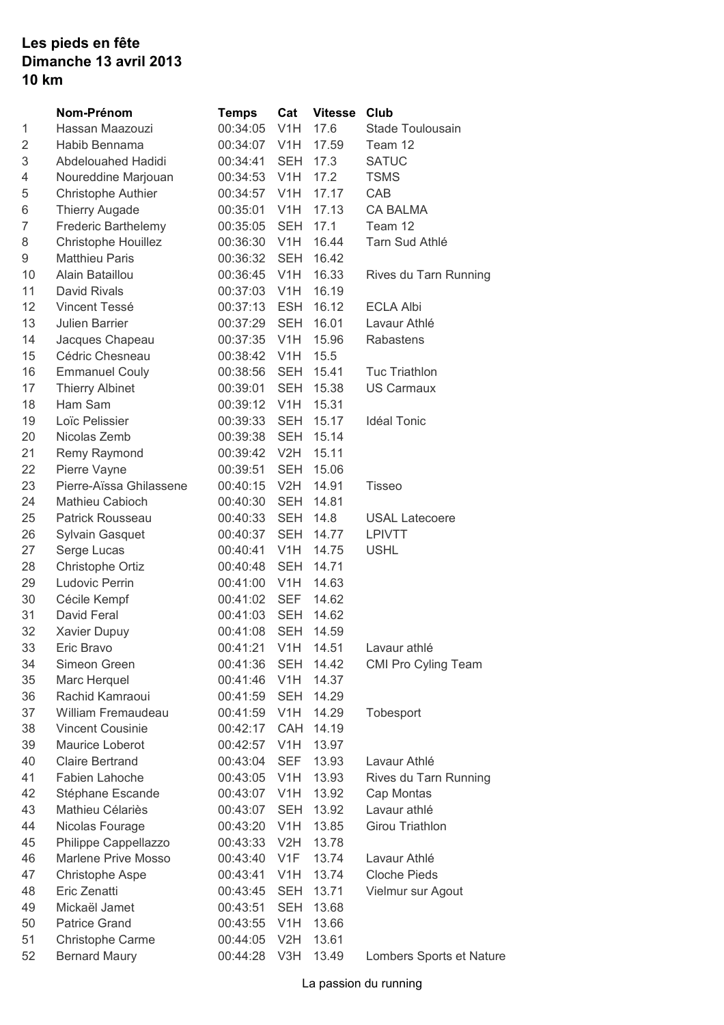## **Les pieds en fête Dimanche 13 avril 2013 10 km**

|    | Nom-Prénom                | <b>Temps</b>       | Cat              | <b>Vitesse</b> | Club                     |
|----|---------------------------|--------------------|------------------|----------------|--------------------------|
| 1  | Hassan Maazouzi           | 00:34:05           | V <sub>1</sub> H | 17.6           | Stade Toulousain         |
| 2  | Habib Bennama             | 00:34:07 V1H       |                  | 17.59          | Team 12                  |
| 3  | Abdelouahed Hadidi        | 00:34:41           | SEH              | 17.3           | <b>SATUC</b>             |
| 4  | Noureddine Marjouan       | 00:34:53 V1H       |                  | 17.2           | <b>TSMS</b>              |
| 5  | <b>Christophe Authier</b> | 00:34:57           | V <sub>1</sub> H | 17.17          | CAB                      |
| 6  | <b>Thierry Augade</b>     | 00:35:01           | V <sub>1</sub> H | 17.13          | <b>CA BALMA</b>          |
| 7  | Frederic Barthelemy       | 00:35:05           | <b>SEH</b>       | 17.1           | Team 12                  |
| 8  | Christophe Houillez       | 00:36:30 V1H       |                  | 16.44          | Tarn Sud Athlé           |
| 9  | <b>Matthieu Paris</b>     | 00:36:32           | SEH              | 16.42          |                          |
| 10 | Alain Bataillou           | 00:36:45 V1H       |                  | 16.33          | Rives du Tarn Running    |
| 11 | David Rivals              | 00:37:03 V1H       |                  | 16.19          |                          |
| 12 | Vincent Tessé             | 00:37:13 ESH       |                  | 16.12          | <b>ECLA Albi</b>         |
| 13 | <b>Julien Barrier</b>     | 00:37:29           | <b>SEH</b>       | 16.01          | Lavaur Athlé             |
| 14 | Jacques Chapeau           | 00:37:35           | V <sub>1</sub> H | 15.96          | Rabastens                |
| 15 | Cédric Chesneau           | 00:38:42 V1H       |                  | 15.5           |                          |
| 16 | <b>Emmanuel Couly</b>     | 00:38:56           | SEH              | 15.41          | <b>Tuc Triathlon</b>     |
| 17 | <b>Thierry Albinet</b>    | 00:39:01           | SEH              | 15.38          | <b>US Carmaux</b>        |
| 18 | Ham Sam                   | 00:39:12           | V <sub>1</sub> H | 15.31          |                          |
| 19 | Loïc Pelissier            | 00:39:33           | SEH              | 15.17          | <b>Idéal Tonic</b>       |
| 20 | Nicolas Zemb              | 00:39:38 SEH       |                  | 15.14          |                          |
| 21 | Remy Raymond              | 00:39:42 V2H       |                  | 15.11          |                          |
| 22 | Pierre Vayne              | 00:39:51           | SEH              | 15.06          |                          |
| 23 | Pierre-Aïssa Ghilassene   | 00:40:15           | V2H              | 14.91          | Tisseo                   |
| 24 | Mathieu Cabioch           | 00:40:30           | SEH              | 14.81          |                          |
| 25 | Patrick Rousseau          | 00:40:33           | SEH              | 14.8           | <b>USAL Latecoere</b>    |
| 26 | Sylvain Gasquet           | 00:40:37           | SEH              | 14.77          | LPIVTT                   |
| 27 | Serge Lucas               | 00:40:41           | V <sub>1</sub> H | 14.75          | <b>USHL</b>              |
| 28 | Christophe Ortiz          | 00:40:48           | SEH              | 14.71          |                          |
| 29 | Ludovic Perrin            | 00:41:00 V1H       |                  | 14.63          |                          |
| 30 | Cécile Kempf              | 00:41:02 SEF       |                  | 14.62          |                          |
| 31 | David Feral               | 00:41:03           | SEH              | 14.62          |                          |
| 32 | Xavier Dupuy              | 00:41:08           | <b>SEH</b>       | 14.59          |                          |
| 33 | Eric Bravo                | 00:41:21 V1H 14.51 |                  |                | Lavaur athlé             |
| 34 | Simeon Green              | 00:41:36 SEH 14.42 |                  |                | CMI Pro Cyling Team      |
| 35 | Marc Herquel              | 00:41:46           | V <sub>1</sub> H | 14.37          |                          |
| 36 | Rachid Kamraoui           | 00:41:59           | <b>SEH</b>       | 14.29          |                          |
| 37 | William Fremaudeau        | 00:41:59           | V <sub>1</sub> H | 14.29          | Tobesport                |
| 38 | <b>Vincent Cousinie</b>   | 00:42:17           | CAH              | 14.19          |                          |
| 39 | Maurice Loberot           | 00:42:57           | V <sub>1</sub> H | 13.97          |                          |
| 40 | <b>Claire Bertrand</b>    | 00:43:04           | <b>SEF</b>       | 13.93          | Lavaur Athlé             |
| 41 | Fabien Lahoche            | 00:43:05           | V <sub>1</sub> H | 13.93          | Rives du Tarn Running    |
| 42 | Stéphane Escande          | 00:43:07           | V <sub>1</sub> H | 13.92          | Cap Montas               |
| 43 | Mathieu Célariès          | 00:43:07           | SEH              | 13.92          | Lavaur athlé             |
| 44 | Nicolas Fourage           | 00:43:20           | V <sub>1</sub> H | 13.85          | Girou Triathlon          |
| 45 | Philippe Cappellazzo      | 00:43:33           | V2H              | 13.78          |                          |
| 46 | Marlene Prive Mosso       | 00:43:40           | V <sub>1</sub> F | 13.74          | Lavaur Athlé             |
| 47 | <b>Christophe Aspe</b>    | 00:43:41           | V <sub>1</sub> H | 13.74          | <b>Cloche Pieds</b>      |
| 48 | Eric Zenatti              | 00:43:45           | <b>SEH</b>       | 13.71          | Vielmur sur Agout        |
| 49 | Mickaël Jamet             | 00:43:51           | <b>SEH</b>       | 13.68          |                          |
| 50 | <b>Patrice Grand</b>      | 00:43:55           | V <sub>1</sub> H | 13.66          |                          |
| 51 | Christophe Carme          | 00:44:05           | V2H              | 13.61          |                          |
| 52 | <b>Bernard Maury</b>      | 00:44:28           | V3H              | 13.49          | Lombers Sports et Nature |
|    |                           |                    |                  |                |                          |

La passion du running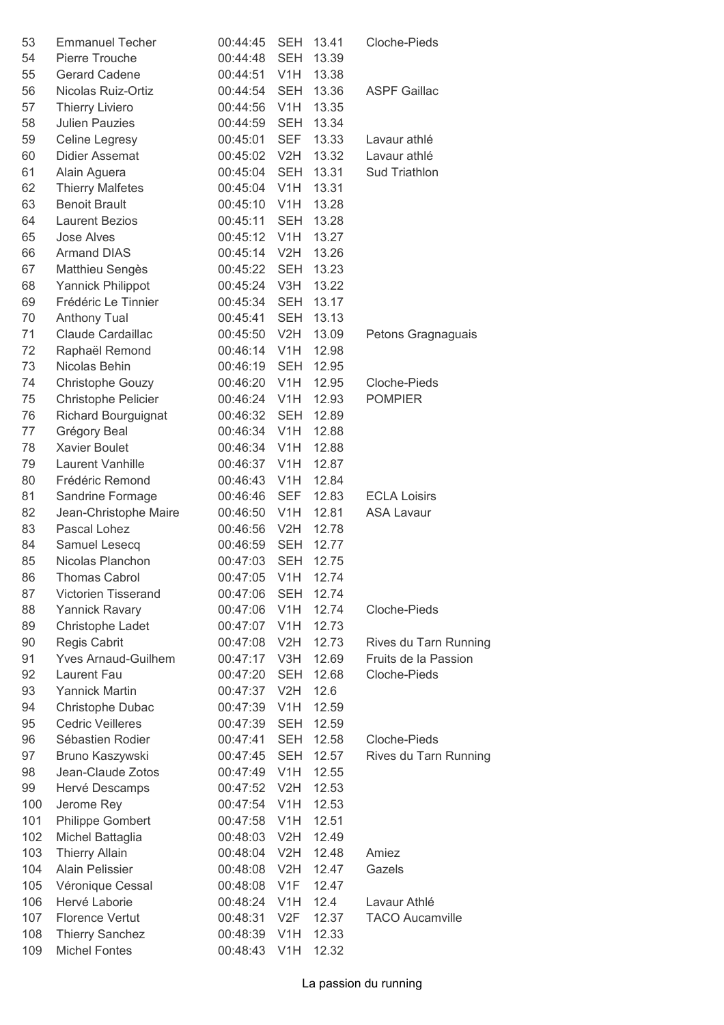| 53  | <b>Emmanuel Techer</b>     | 00:44:45     | <b>SEH</b>       | 13.41     | Cloche-Pieds           |
|-----|----------------------------|--------------|------------------|-----------|------------------------|
| 54  | Pierre Trouche             | 00:44:48     | <b>SEH</b>       | 13.39     |                        |
| 55  | Gerard Cadene              | 00:44:51 V1H |                  | 13.38     |                        |
| 56  | Nicolas Ruiz-Ortiz         | 00:44:54     | <b>SEH</b>       | 13.36     | <b>ASPF Gaillac</b>    |
| 57  | <b>Thierry Liviero</b>     | 00:44:56     | V1H              | 13.35     |                        |
| 58  | <b>Julien Pauzies</b>      | 00:44:59     | <b>SEH</b>       | 13.34     |                        |
| 59  | Celine Legresy             | 00:45:01     | <b>SEF</b>       | 13.33     | Lavaur athlé           |
| 60  | Didier Assemat             | 00:45:02 V2H |                  | 13.32     | Lavaur athlé           |
| 61  | Alain Aguera               | 00:45:04     | <b>SEH</b>       | 13.31     | Sud Triathlon          |
| 62  | <b>Thierry Malfetes</b>    | 00:45:04 V1H |                  | 13.31     |                        |
| 63  | <b>Benoit Brault</b>       | 00:45:10 V1H |                  | 13.28     |                        |
| 64  | <b>Laurent Bezios</b>      | 00:45:11     | <b>SEH</b>       | 13.28     |                        |
| 65  | <b>Jose Alves</b>          | 00:45:12 V1H |                  | 13.27     |                        |
| 66  | <b>Armand DIAS</b>         | 00:45:14     | V2H              | 13.26     |                        |
| 67  | Matthieu Sengès            | 00:45:22     | <b>SEH</b>       | 13.23     |                        |
| 68  | Yannick Philippot          | 00:45:24 V3H |                  | 13.22     |                        |
| 69  | Frédéric Le Tinnier        | 00:45:34     | <b>SEH</b>       | 13.17     |                        |
| 70  | <b>Anthony Tual</b>        | 00:45:41     | <b>SEH</b>       | 13.13     |                        |
| 71  | Claude Cardaillac          | 00:45:50     | V2H              | 13.09     | Petons Gragnaguais     |
| 72  | Raphaël Remond             | 00:46:14 V1H |                  | 12.98     |                        |
| 73  | Nicolas Behin              | 00:46:19     | <b>SEH</b>       | 12.95     |                        |
| 74  | Christophe Gouzy           | 00:46:20 V1H |                  | 12.95     | Cloche-Pieds           |
| 75  | Christophe Pelicier        | 00:46:24 V1H |                  | 12.93     | <b>POMPIER</b>         |
| 76  | Richard Bourguignat        | 00:46:32     | <b>SEH</b>       | 12.89     |                        |
| 77  | Grégory Beal               | 00:46:34     | V1H              | 12.88     |                        |
| 78  | <b>Xavier Boulet</b>       | 00:46:34 V1H |                  | 12.88     |                        |
| 79  | Laurent Vanhille           | 00:46:37 V1H |                  | 12.87     |                        |
| 80  | Frédéric Remond            | 00:46:43     | V <sub>1</sub> H | 12.84     |                        |
| 81  | Sandrine Formage           | 00:46:46     | <b>SEF</b>       | 12.83     | <b>ECLA Loisirs</b>    |
| 82  | Jean-Christophe Maire      | 00:46:50 V1H |                  | 12.81     | <b>ASA Lavaur</b>      |
| 83  | Pascal Lohez               | 00:46:56     | V2H              | 12.78     |                        |
| 84  | Samuel Lesecq              | 00:46:59     | <b>SEH</b>       | 12.77     |                        |
| 85  | Nicolas Planchon           | 00:47:03     | <b>SEH</b>       | 12.75     |                        |
| 86  | <b>Thomas Cabrol</b>       | 00:47:05 V1H |                  | 12.74     |                        |
| 87  | Victorien Tisserand        | 00:47:06     |                  | SEH 12.74 |                        |
| 88  | <b>Yannick Ravary</b>      | 00:47:06     | V <sub>1</sub> H | 12.74     | Cloche-Pieds           |
| 89  | Christophe Ladet           | 00:47:07     | V <sub>1</sub> H | 12.73     |                        |
| 90  | Regis Cabrit               | 00:47:08     | V2H              | 12.73     | Rives du Tarn Running  |
| 91  | <b>Yves Arnaud-Guilhem</b> | 00:47:17     | V3H              | 12.69     | Fruits de la Passion   |
| 92  | Laurent Fau                | 00:47:20     | <b>SEH</b>       | 12.68     | Cloche-Pieds           |
| 93  | <b>Yannick Martin</b>      | 00:47:37     | V2H              | 12.6      |                        |
| 94  | Christophe Dubac           | 00:47:39     | V <sub>1</sub> H | 12.59     |                        |
| 95  | <b>Cedric Veilleres</b>    | 00:47:39     | <b>SEH</b>       | 12.59     |                        |
| 96  | Sébastien Rodier           | 00:47:41     | <b>SEH</b>       | 12.58     | Cloche-Pieds           |
| 97  | Bruno Kaszywski            | 00:47:45     | <b>SEH</b>       | 12.57     | Rives du Tarn Running  |
| 98  | Jean-Claude Zotos          | 00:47:49     | V <sub>1</sub> H | 12.55     |                        |
| 99  | Hervé Descamps             | 00:47:52     | V2H              | 12.53     |                        |
| 100 | Jerome Rey                 | 00:47:54     | V <sub>1</sub> H | 12.53     |                        |
| 101 | Philippe Gombert           | 00:47:58     | V <sub>1</sub> H | 12.51     |                        |
| 102 | Michel Battaglia           | 00:48:03     | V <sub>2</sub> H | 12.49     |                        |
| 103 | <b>Thierry Allain</b>      | 00:48:04     | V2H              | 12.48     | Amiez                  |
| 104 | <b>Alain Pelissier</b>     | 00:48:08     | V2H              | 12.47     | Gazels                 |
| 105 | Véronique Cessal           | 00:48:08     | V1F              | 12.47     |                        |
| 106 | Hervé Laborie              | 00:48:24     | V <sub>1</sub> H | 12.4      | Lavaur Athlé           |
| 107 | <b>Florence Vertut</b>     | 00:48:31     | V <sub>2</sub> F | 12.37     | <b>TACO Aucamville</b> |
| 108 | <b>Thierry Sanchez</b>     | 00:48:39     | V <sub>1</sub> H | 12.33     |                        |
| 109 | <b>Michel Fontes</b>       | 00:48:43 V1H |                  | 12.32     |                        |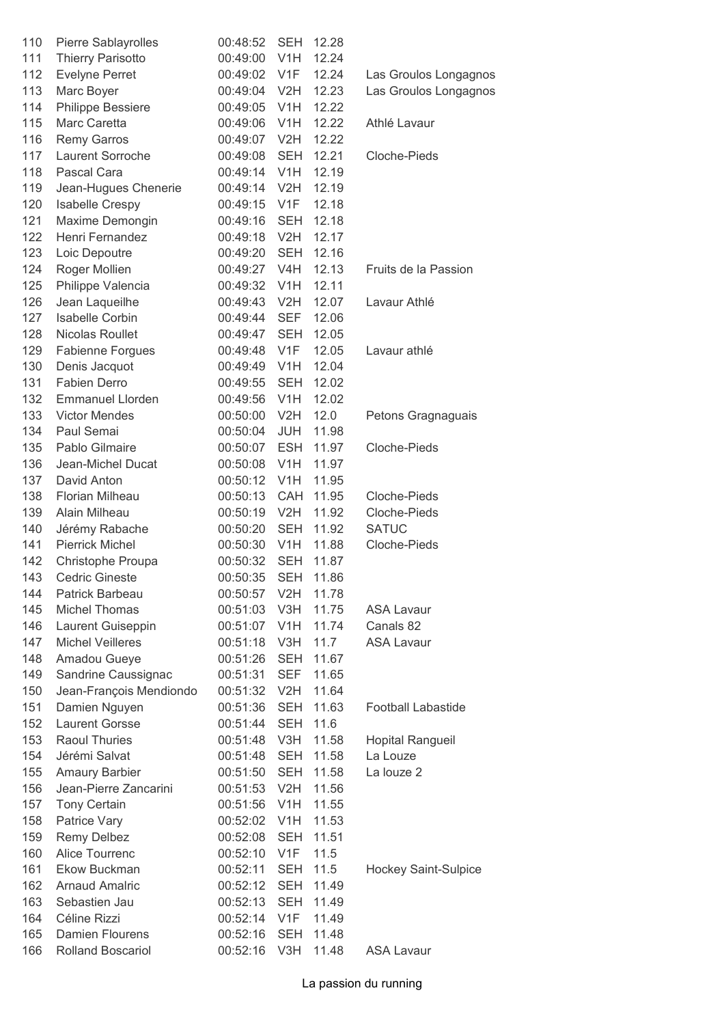| 110 | Pierre Sablayrolles      | 00:48:52     | <b>SEH</b>       | 12.28 |                             |
|-----|--------------------------|--------------|------------------|-------|-----------------------------|
| 111 | <b>Thierry Parisotto</b> | 00:49:00     | V <sub>1</sub> H | 12.24 |                             |
| 112 | <b>Evelyne Perret</b>    | 00:49:02     | V <sub>1</sub> F | 12.24 | Las Groulos Longagnos       |
| 113 | Marc Boyer               | 00:49:04 V2H |                  | 12.23 | Las Groulos Longagnos       |
| 114 | Philippe Bessiere        | 00:49:05 V1H |                  | 12.22 |                             |
| 115 | Marc Caretta             | 00:49:06     | V <sub>1</sub> H | 12.22 | Athlé Lavaur                |
| 116 | <b>Remy Garros</b>       | 00:49:07     | V2H              | 12.22 |                             |
| 117 | Laurent Sorroche         | 00:49:08     | <b>SEH</b>       | 12.21 | Cloche-Pieds                |
| 118 | Pascal Cara              | 00:49:14     | V <sub>1</sub> H | 12.19 |                             |
| 119 | Jean-Hugues Chenerie     | 00:49:14     | V2H              | 12.19 |                             |
| 120 | Isabelle Crespy          | 00:49:15     | V <sub>1</sub> F | 12.18 |                             |
| 121 | Maxime Demongin          | 00:49:16     | <b>SEH</b>       | 12.18 |                             |
| 122 | Henri Fernandez          | 00:49:18     | V2H              | 12.17 |                             |
| 123 | Loic Depoutre            | 00:49:20     | <b>SEH</b>       | 12.16 |                             |
| 124 | Roger Mollien            | 00:49:27     | V <sub>4</sub> H | 12.13 | Fruits de la Passion        |
| 125 | Philippe Valencia        | 00:49:32     | V <sub>1</sub> H | 12.11 |                             |
| 126 | Jean Laqueilhe           | 00:49:43     | V2H              | 12.07 | Lavaur Athlé                |
| 127 | Isabelle Corbin          | 00:49:44     | <b>SEF</b>       | 12.06 |                             |
| 128 | Nicolas Roullet          | 00:49:47     | <b>SEH</b>       | 12.05 |                             |
| 129 | <b>Fabienne Forgues</b>  | 00:49:48     | V <sub>1F</sub>  | 12.05 | Lavaur athlé                |
| 130 | Denis Jacquot            | 00:49:49     | V <sub>1</sub> H | 12.04 |                             |
| 131 | Fabien Derro             | 00:49:55     | <b>SEH</b>       | 12.02 |                             |
| 132 | <b>Emmanuel Llorden</b>  | 00:49:56 V1H |                  | 12.02 |                             |
| 133 | <b>Victor Mendes</b>     | 00:50:00     | V2H              | 12.0  | Petons Gragnaguais          |
| 134 | Paul Semai               | 00:50:04     | <b>JUH</b>       | 11.98 |                             |
| 135 | Pablo Gilmaire           | 00:50:07     | <b>ESH</b>       | 11.97 | Cloche-Pieds                |
| 136 | Jean-Michel Ducat        | 00:50:08     | V <sub>1</sub> H | 11.97 |                             |
| 137 | David Anton              | 00:50:12 V1H |                  | 11.95 |                             |
| 138 | Florian Milheau          | 00:50:13     | CAH              | 11.95 | Cloche-Pieds                |
| 139 | Alain Milheau            | 00:50:19     | V2H              | 11.92 | Cloche-Pieds                |
| 140 | Jérémy Rabache           | 00:50:20     | SEH              | 11.92 | <b>SATUC</b>                |
| 141 | <b>Pierrick Michel</b>   | 00:50:30 V1H |                  | 11.88 | Cloche-Pieds                |
| 142 | Christophe Proupa        | 00:50:32     | <b>SEH</b>       | 11.87 |                             |
| 143 | <b>Cedric Gineste</b>    | 00:50:35     | <b>SEH</b>       | 11.86 |                             |
| 144 | Patrick Barbeau          | 00:50:57     | V2H              | 11.78 |                             |
| 145 | <b>Michel Thomas</b>     | 00:51:03     | V3H              | 11.75 | <b>ASA Lavaur</b>           |
| 146 | Laurent Guiseppin        | 00:51:07 V1H |                  | 11.74 | Canals 82                   |
| 147 | <b>Michel Veilleres</b>  | 00:51:18     | V3H              | 11.7  | <b>ASA Lavaur</b>           |
| 148 | Amadou Gueye             | 00:51:26     | <b>SEH</b>       | 11.67 |                             |
| 149 | Sandrine Caussignac      | 00:51:31     | <b>SEF</b>       | 11.65 |                             |
| 150 | Jean-François Mendiondo  | 00:51:32     | V2H              | 11.64 |                             |
| 151 | Damien Nguyen            | 00:51:36     | <b>SEH</b>       | 11.63 | <b>Football Labastide</b>   |
| 152 | Laurent Gorsse           | 00:51:44     | <b>SEH</b>       | 11.6  |                             |
| 153 | Raoul Thuries            | 00:51:48     | V3H              | 11.58 | Hopital Rangueil            |
| 154 | Jérémi Salvat            | 00:51:48     | SEH              | 11.58 | La Louze                    |
| 155 | <b>Amaury Barbier</b>    | 00:51:50     | SEH              | 11.58 | La louze 2                  |
| 156 | Jean-Pierre Zancarini    | 00:51:53     | V <sub>2</sub> H | 11.56 |                             |
| 157 | <b>Tony Certain</b>      | 00:51:56     | V <sub>1</sub> H | 11.55 |                             |
| 158 | Patrice Vary             | 00:52:02     | V <sub>1</sub> H | 11.53 |                             |
| 159 | Remy Delbez              | 00:52:08     | <b>SEH</b>       | 11.51 |                             |
| 160 | Alice Tourrenc           | 00:52:10     | V <sub>1</sub> F | 11.5  |                             |
| 161 | Ekow Buckman             | 00:52:11     | <b>SEH</b>       | 11.5  | <b>Hockey Saint-Sulpice</b> |
| 162 | <b>Arnaud Amalric</b>    | 00:52:12     | <b>SEH</b>       | 11.49 |                             |
| 163 | Sebastien Jau            | 00:52:13     | <b>SEH</b>       | 11.49 |                             |
| 164 | Céline Rizzi             | 00:52:14     | V <sub>1</sub> F | 11.49 |                             |
| 165 | <b>Damien Flourens</b>   | 00:52:16     | <b>SEH</b>       | 11.48 |                             |
| 166 | Rolland Boscariol        | 00:52:16     | V3H              | 11.48 | <b>ASA Lavaur</b>           |
|     |                          |              |                  |       |                             |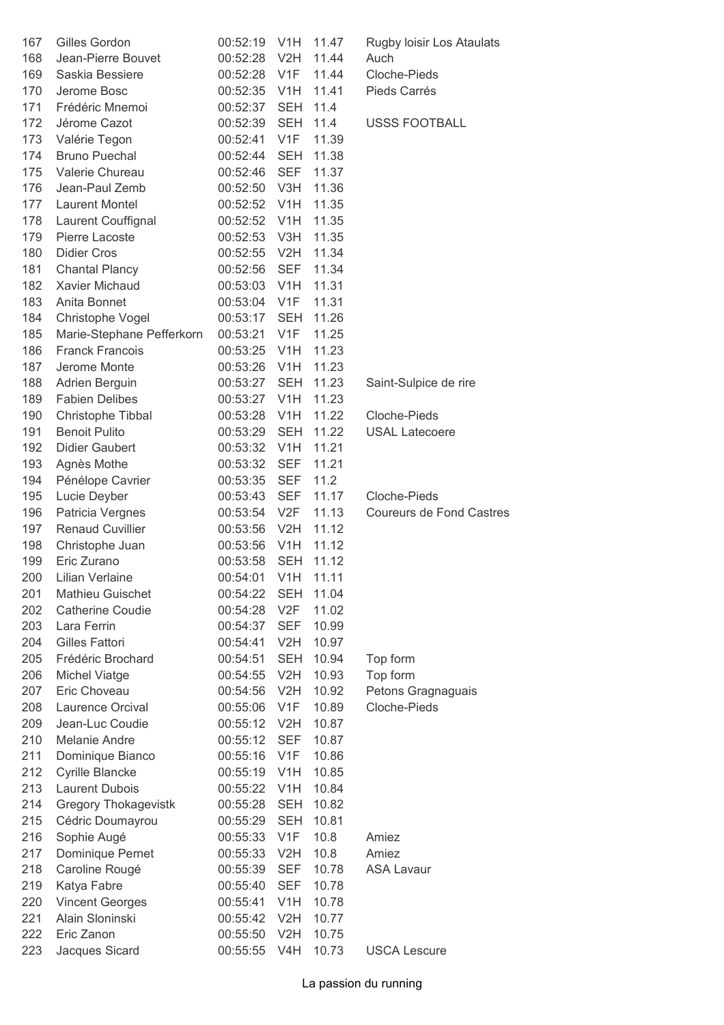| 167 | Gilles Gordon               | 00:52:19           | V <sub>1</sub> H | 11.47     | Rugby loisir Los Ataulats       |
|-----|-----------------------------|--------------------|------------------|-----------|---------------------------------|
| 168 | Jean-Pierre Bouvet          | 00:52:28           | V2H              | 11.44     | Auch                            |
| 169 | Saskia Bessiere             | 00:52:28 V1F       |                  | 11.44     | Cloche-Pieds                    |
| 170 | Jerome Bosc                 | 00:52:35 V1H       |                  | 11.41     | Pieds Carrés                    |
| 171 | Frédéric Mnemoi             | 00:52:37           | <b>SEH</b>       | 11.4      |                                 |
| 172 | Jérome Cazot                | 00:52:39           | <b>SEH</b>       | 11.4      | <b>USSS FOOTBALL</b>            |
| 173 | Valérie Tegon               | 00:52:41           | V <sub>1</sub> F | 11.39     |                                 |
| 174 | <b>Bruno Puechal</b>        | 00:52:44           | <b>SEH</b>       | 11.38     |                                 |
| 175 | Valerie Chureau             | 00:52:46           | <b>SEF</b>       | 11.37     |                                 |
| 176 | Jean-Paul Zemb              | 00:52:50 V3H       |                  | 11.36     |                                 |
| 177 | <b>Laurent Montel</b>       | 00:52:52 V1H       |                  | 11.35     |                                 |
| 178 | Laurent Couffignal          | 00:52:52 V1H       |                  | 11.35     |                                 |
| 179 | Pierre Lacoste              | 00:52:53 V3H       |                  | 11.35     |                                 |
| 180 | <b>Didier Cros</b>          | 00:52:55           | V2H              | 11.34     |                                 |
| 181 | <b>Chantal Plancy</b>       | 00:52:56           | <b>SEF</b>       | 11.34     |                                 |
| 182 | Xavier Michaud              | 00:53:03           | V <sub>1</sub> H | 11.31     |                                 |
| 183 | Anita Bonnet                | 00:53:04 V1F       |                  | 11.31     |                                 |
| 184 | Christophe Vogel            | 00:53:17           | SEH              | 11.26     |                                 |
| 185 | Marie-Stephane Pefferkorn   | 00:53:21           | V1F              | 11.25     |                                 |
| 186 | <b>Franck Francois</b>      | 00:53:25 V1H       |                  | 11.23     |                                 |
| 187 | Jerome Monte                | 00:53:26 V1H       |                  | 11.23     |                                 |
| 188 | Adrien Berguin              | 00:53:27           | <b>SEH</b>       | 11.23     | Saint-Sulpice de rire           |
| 189 | <b>Fabien Delibes</b>       | 00:53:27 V1H       |                  | 11.23     |                                 |
| 190 | Christophe Tibbal           | 00:53:28           | V <sub>1</sub> H | 11.22     | Cloche-Pieds                    |
| 191 | <b>Benoit Pulito</b>        | 00:53:29           | <b>SEH</b>       | 11.22     | <b>USAL Latecoere</b>           |
| 192 | <b>Didier Gaubert</b>       | 00:53:32           | V <sub>1</sub> H | 11.21     |                                 |
| 193 | Agnès Mothe                 | 00:53:32           | SEF              | 11.21     |                                 |
| 194 | Pénélope Cavrier            | 00:53:35           | <b>SEF</b>       | 11.2      |                                 |
| 195 | Lucie Deyber                | 00:53:43           | SEF              | 11.17     | Cloche-Pieds                    |
| 196 | Patricia Vergnes            | 00:53:54 V2F       |                  | 11.13     | <b>Coureurs de Fond Castres</b> |
| 197 | <b>Renaud Cuvillier</b>     | 00:53:56           | V2H              | 11.12     |                                 |
| 198 | Christophe Juan             | 00:53:56           | V1H              | 11.12     |                                 |
| 199 | Eric Zurano                 | 00:53:58           | <b>SEH</b>       | 11.12     |                                 |
| 200 | Lilian Verlaine             | 00:54:01 V1H 11.11 |                  |           |                                 |
| 201 | <b>Mathieu Guischet</b>     | 00:54:22           |                  | SEH 11.04 |                                 |
| 202 | <b>Catherine Coudie</b>     | 00:54:28           | V2F              | 11.02     |                                 |
| 203 | Lara Ferrin                 | 00:54:37           | <b>SEF</b>       | 10.99     |                                 |
| 204 | Gilles Fattori              | 00:54:41           | V2H              | 10.97     |                                 |
| 205 | Frédéric Brochard           | 00:54:51           | <b>SEH</b>       | 10.94     | Top form                        |
| 206 | <b>Michel Viatge</b>        | 00:54:55           | V2H              | 10.93     | Top form                        |
| 207 | Eric Choveau                | 00:54:56           | V2H              | 10.92     | Petons Gragnaguais              |
| 208 | Laurence Orcival            | 00:55:06           | V <sub>1</sub> F | 10.89     | Cloche-Pieds                    |
| 209 | Jean-Luc Coudie             | 00:55:12           | V2H              | 10.87     |                                 |
| 210 | Melanie Andre               | 00:55:12           | <b>SEF</b>       | 10.87     |                                 |
| 211 | Dominique Bianco            | 00:55:16           | V <sub>1</sub> F | 10.86     |                                 |
| 212 | Cyrille Blancke             | 00:55:19           | V <sub>1</sub> H | 10.85     |                                 |
| 213 | <b>Laurent Dubois</b>       | 00:55:22           | V <sub>1</sub> H | 10.84     |                                 |
| 214 | <b>Gregory Thokagevistk</b> | 00:55:28           | <b>SEH</b>       | 10.82     |                                 |
| 215 | Cédric Doumayrou            | 00:55:29           | <b>SEH</b>       | 10.81     |                                 |
| 216 | Sophie Augé                 | 00:55:33           | V <sub>1</sub> F | 10.8      | Amiez                           |
| 217 | Dominique Pernet            | 00:55:33           | V2H              | 10.8      | Amiez                           |
| 218 | Caroline Rougé              | 00:55:39           | <b>SEF</b>       | 10.78     | <b>ASA Lavaur</b>               |
| 219 | Katya Fabre                 | 00:55:40           | <b>SEF</b>       | 10.78     |                                 |
| 220 | <b>Vincent Georges</b>      | 00:55:41           | V1H              | 10.78     |                                 |
| 221 | Alain Sloninski             | 00:55:42           | V2H              | 10.77     |                                 |
| 222 | Eric Zanon                  | 00:55:50           | V2H              | 10.75     |                                 |
| 223 | Jacques Sicard              | 00:55:55           | V4H              | 10.73     | <b>USCA Lescure</b>             |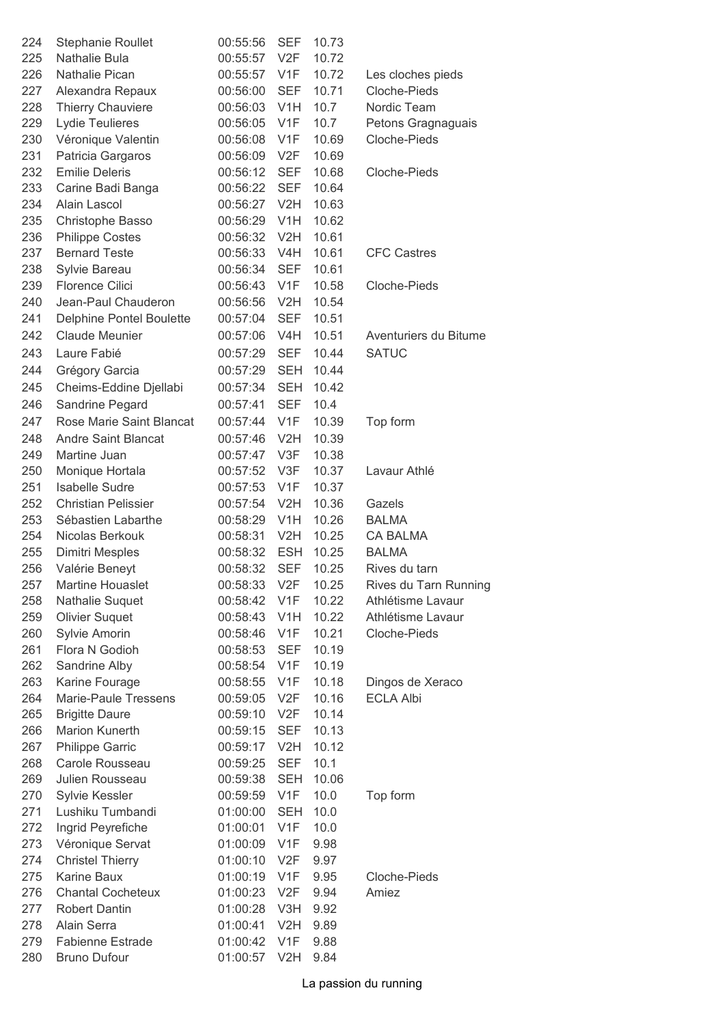| 224 | <b>Stephanie Roullet</b>        | 00:55:56 | <b>SEF</b>       | 10.73 |                       |
|-----|---------------------------------|----------|------------------|-------|-----------------------|
| 225 | <b>Nathalie Bula</b>            | 00:55:57 | V <sub>2F</sub>  | 10.72 |                       |
| 226 | <b>Nathalie Pican</b>           | 00:55:57 | V1F              | 10.72 | Les cloches pieds     |
| 227 | Alexandra Repaux                | 00:56:00 | <b>SEF</b>       | 10.71 | Cloche-Pieds          |
| 228 | <b>Thierry Chauviere</b>        | 00:56:03 | V <sub>1</sub> H | 10.7  | Nordic Team           |
| 229 | Lydie Teulieres                 | 00:56:05 | V <sub>1</sub> F | 10.7  | Petons Gragnaguais    |
| 230 | Véronique Valentin              | 00:56:08 | V <sub>1F</sub>  | 10.69 | Cloche-Pieds          |
| 231 | Patricia Gargaros               | 00:56:09 | V2F              | 10.69 |                       |
| 232 | <b>Emilie Deleris</b>           | 00:56:12 | <b>SEF</b>       | 10.68 | Cloche-Pieds          |
| 233 | Carine Badi Banga               | 00:56:22 | <b>SEF</b>       | 10.64 |                       |
| 234 | Alain Lascol                    | 00:56:27 | V <sub>2</sub> H | 10.63 |                       |
| 235 | Christophe Basso                | 00:56:29 | V <sub>1</sub> H | 10.62 |                       |
| 236 | <b>Philippe Costes</b>          | 00:56:32 | V2H              | 10.61 |                       |
| 237 | <b>Bernard Teste</b>            | 00:56:33 | V4H              | 10.61 | <b>CFC Castres</b>    |
| 238 | Sylvie Bareau                   | 00:56:34 | <b>SEF</b>       | 10.61 |                       |
| 239 | <b>Florence Cilici</b>          | 00:56:43 | V <sub>1F</sub>  | 10.58 | Cloche-Pieds          |
| 240 | Jean-Paul Chauderon             | 00:56:56 | V2H              | 10.54 |                       |
| 241 | <b>Delphine Pontel Boulette</b> | 00:57:04 | <b>SEF</b>       | 10.51 |                       |
| 242 | <b>Claude Meunier</b>           | 00:57:06 | V4H              | 10.51 | Aventuriers du Bitume |
| 243 | Laure Fabié                     | 00:57:29 | <b>SEF</b>       | 10.44 | <b>SATUC</b>          |
| 244 | Grégory Garcia                  | 00:57:29 | <b>SEH</b>       | 10.44 |                       |
| 245 | Cheims-Eddine Djellabi          | 00:57:34 | <b>SEH</b>       | 10.42 |                       |
| 246 | Sandrine Pegard                 | 00:57:41 | <b>SEF</b>       | 10.4  |                       |
|     | Rose Marie Saint Blancat        |          |                  |       |                       |
| 247 |                                 | 00:57:44 | V <sub>1F</sub>  | 10.39 | Top form              |
| 248 | <b>Andre Saint Blancat</b>      | 00:57:46 | V2H              | 10.39 |                       |
| 249 | Martine Juan                    | 00:57:47 | V3F              | 10.38 |                       |
| 250 | Monique Hortala                 | 00:57:52 | V3F              | 10.37 | Lavaur Athlé          |
| 251 | <b>Isabelle Sudre</b>           | 00:57:53 | V <sub>1</sub> F | 10.37 |                       |
| 252 | <b>Christian Pelissier</b>      | 00:57:54 | V2H              | 10.36 | Gazels                |
| 253 | Sébastien Labarthe              | 00:58:29 | V <sub>1</sub> H | 10.26 | <b>BALMA</b>          |
| 254 | Nicolas Berkouk                 | 00:58:31 | V2H              | 10.25 | <b>CA BALMA</b>       |
| 255 | Dimitri Mesples                 | 00:58:32 | <b>ESH</b>       | 10.25 | <b>BALMA</b>          |
| 256 | Valérie Beneyt                  | 00:58:32 | <b>SEF</b>       | 10.25 | Rives du tarn         |
| 257 | <b>Martine Houaslet</b>         | 00:58:33 | V2F              | 10.25 | Rives du Tarn Running |
| 258 | Nathalie Suquet                 | 00:58:42 | V <sub>1F</sub>  | 10.22 | Athlétisme Lavaur     |
| 259 | <b>Olivier Suquet</b>           | 00:58:43 | V <sub>1</sub> H | 10.22 | Athlétisme Lavaur     |
| 260 | Sylvie Amorin                   | 00:58:46 | V <sub>1</sub> F | 10.21 | Cloche-Pieds          |
| 261 | Flora N Godioh                  | 00:58:53 | <b>SEF</b>       | 10.19 |                       |
| 262 | Sandrine Alby                   | 00:58:54 | V <sub>1</sub> F | 10.19 |                       |
| 263 | Karine Fourage                  | 00:58:55 | V <sub>1</sub> F | 10.18 | Dingos de Xeraco      |
| 264 | Marie-Paule Tressens            | 00:59:05 | V <sub>2</sub> F | 10.16 | <b>ECLA Albi</b>      |
| 265 | <b>Brigitte Daure</b>           | 00:59:10 | V <sub>2</sub> F | 10.14 |                       |
| 266 | Marion Kunerth                  | 00:59:15 | <b>SEF</b>       | 10.13 |                       |
| 267 | Philippe Garric                 | 00:59:17 | V2H              | 10.12 |                       |
| 268 | Carole Rousseau                 | 00:59:25 | <b>SEF</b>       | 10.1  |                       |
| 269 | Julien Rousseau                 | 00:59:38 | <b>SEH</b>       | 10.06 |                       |
| 270 | Sylvie Kessler                  | 00:59:59 | V <sub>1F</sub>  | 10.0  | Top form              |
| 271 | Lushiku Tumbandi                | 01:00:00 | <b>SEH</b>       | 10.0  |                       |
| 272 | Ingrid Peyrefiche               | 01:00:01 | V <sub>1</sub> F | 10.0  |                       |
| 273 | Véronique Servat                | 01:00:09 | V <sub>1</sub> F | 9.98  |                       |
| 274 | <b>Christel Thierry</b>         | 01:00:10 | V2F              | 9.97  |                       |
| 275 | Karine Baux                     | 01:00:19 | V <sub>1</sub> F | 9.95  | Cloche-Pieds          |
| 276 | <b>Chantal Cocheteux</b>        | 01:00:23 | V <sub>2</sub> F | 9.94  | Amiez                 |
| 277 | Robert Dantin                   | 01:00:28 | V3H              | 9.92  |                       |
| 278 | Alain Serra                     | 01:00:41 | V2H              | 9.89  |                       |
| 279 | <b>Fabienne Estrade</b>         | 01:00:42 | V <sub>1</sub> F | 9.88  |                       |
| 280 | <b>Bruno Dufour</b>             | 01:00:57 | V2H              | 9.84  |                       |